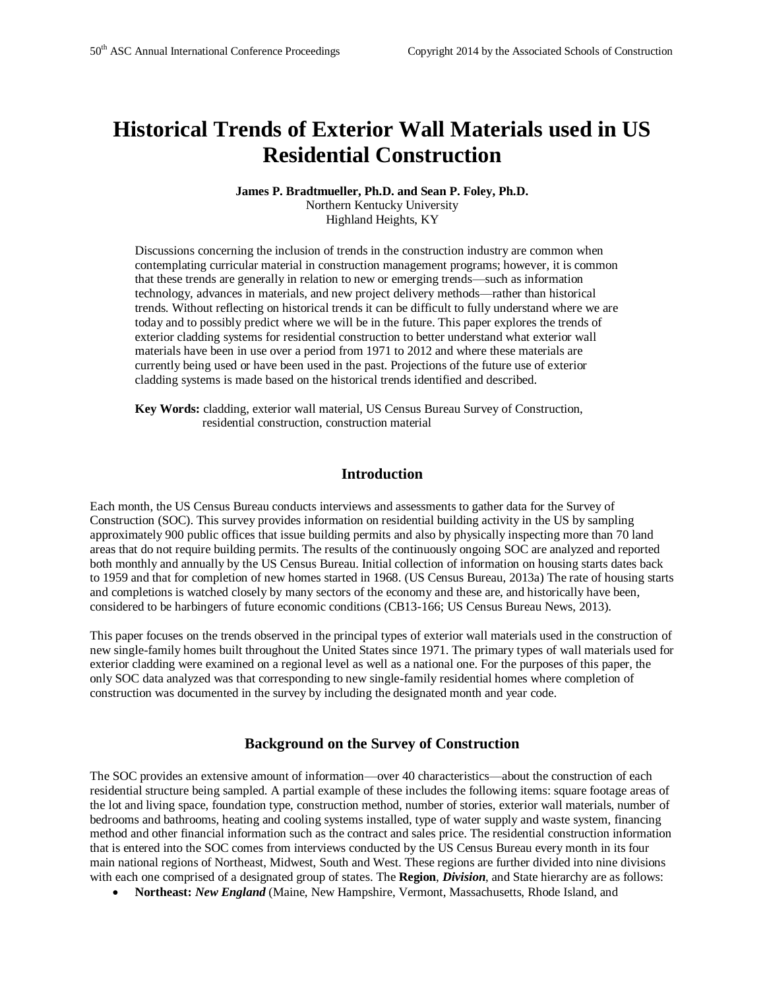# **Historical Trends of Exterior Wall Materials used in US Residential Construction**

#### **James P. Bradtmueller, Ph.D. and Sean P. Foley, Ph.D.** Northern Kentucky University Highland Heights, KY

Discussions concerning the inclusion of trends in the construction industry are common when contemplating curricular material in construction management programs; however, it is common that these trends are generally in relation to new or emerging trends—such as information technology, advances in materials, and new project delivery methods—rather than historical trends. Without reflecting on historical trends it can be difficult to fully understand where we are today and to possibly predict where we will be in the future. This paper explores the trends of exterior cladding systems for residential construction to better understand what exterior wall materials have been in use over a period from 1971 to 2012 and where these materials are currently being used or have been used in the past. Projections of the future use of exterior cladding systems is made based on the historical trends identified and described.

**Key Words:** cladding, exterior wall material, US Census Bureau Survey of Construction, residential construction, construction material

## **Introduction**

Each month, the US Census Bureau conducts interviews and assessments to gather data for the Survey of Construction (SOC). This survey provides information on residential building activity in the US by sampling approximately 900 public offices that issue building permits and also by physically inspecting more than 70 land areas that do not require building permits. The results of the continuously ongoing SOC are analyzed and reported both monthly and annually by the US Census Bureau. Initial collection of information on housing starts dates back to 1959 and that for completion of new homes started in 1968. (US Census Bureau, 2013a) The rate of housing starts and completions is watched closely by many sectors of the economy and these are, and historically have been, considered to be harbingers of future economic conditions (CB13-166; US Census Bureau News, 2013).

This paper focuses on the trends observed in the principal types of exterior wall materials used in the construction of new single-family homes built throughout the United States since 1971. The primary types of wall materials used for exterior cladding were examined on a regional level as well as a national one. For the purposes of this paper, the only SOC data analyzed was that corresponding to new single-family residential homes where completion of construction was documented in the survey by including the designated month and year code.

## **Background on the Survey of Construction**

The SOC provides an extensive amount of information—over 40 characteristics—about the construction of each residential structure being sampled. A partial example of these includes the following items: square footage areas of the lot and living space, foundation type, construction method, number of stories, exterior wall materials, number of bedrooms and bathrooms, heating and cooling systems installed, type of water supply and waste system, financing method and other financial information such as the contract and sales price. The residential construction information that is entered into the SOC comes from interviews conducted by the US Census Bureau every month in its four main national regions of Northeast, Midwest, South and West. These regions are further divided into nine divisions with each one comprised of a designated group of states. The **Region**, *Division*, and State hierarchy are as follows:

**Northeast:** *New England* (Maine, New Hampshire, Vermont, Massachusetts, Rhode Island, and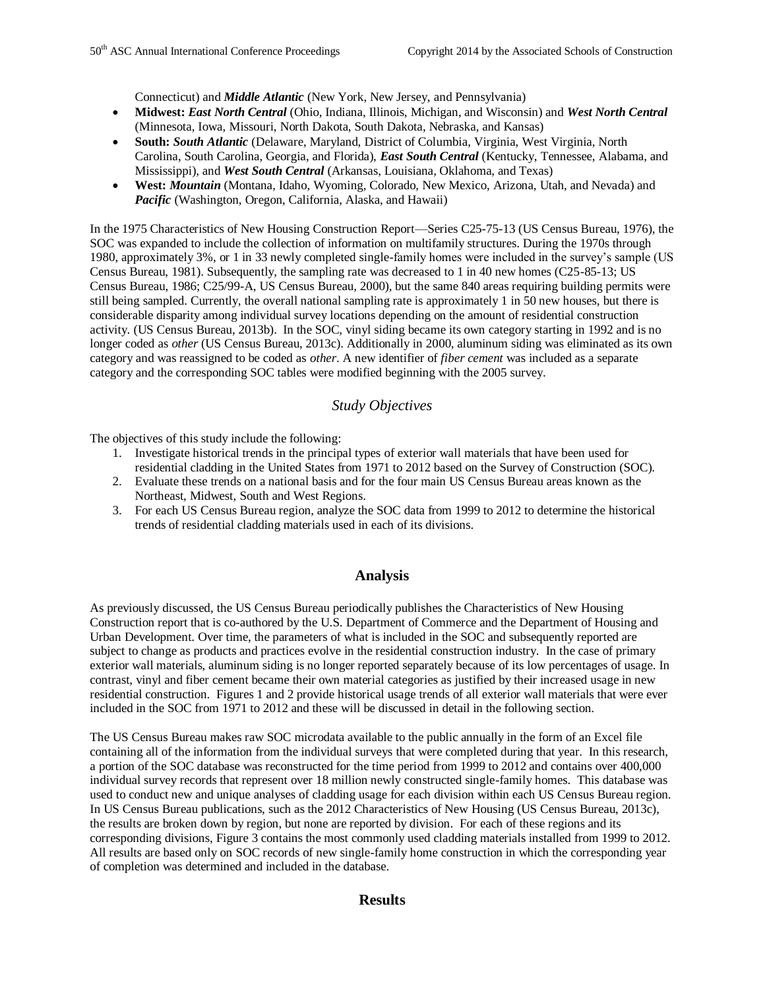Connecticut) and *Middle Atlantic* (New York, New Jersey, and Pennsylvania)

- **Midwest:** *East North Central* (Ohio, Indiana, Illinois, Michigan, and Wisconsin) and *West North Central* (Minnesota, Iowa, Missouri, North Dakota, South Dakota, Nebraska, and Kansas)
- **South:** *South Atlantic* (Delaware, Maryland, District of Columbia, Virginia, West Virginia, North Carolina, South Carolina, Georgia, and Florida), *East South Central* (Kentucky, Tennessee, Alabama, and Mississippi), and *West South Central* (Arkansas, Louisiana, Oklahoma, and Texas)
- **West:** *Mountain* (Montana, Idaho, Wyoming, Colorado, New Mexico, Arizona, Utah, and Nevada) and *Pacific* (Washington, Oregon, California, Alaska, and Hawaii)

In the 1975 Characteristics of New Housing Construction Report—Series C25-75-13 (US Census Bureau, 1976), the SOC was expanded to include the collection of information on multifamily structures. During the 1970s through 1980, approximately 3%, or 1 in 33 newly completed single-family homes were included in the survey's sample (US Census Bureau, 1981). Subsequently, the sampling rate was decreased to 1 in 40 new homes (C25-85-13; US Census Bureau, 1986; C25/99-A, US Census Bureau, 2000), but the same 840 areas requiring building permits were still being sampled. Currently, the overall national sampling rate is approximately 1 in 50 new houses, but there is considerable disparity among individual survey locations depending on the amount of residential construction activity. (US Census Bureau, 2013b). In the SOC, vinyl siding became its own category starting in 1992 and is no longer coded as *other* (US Census Bureau, 2013c). Additionally in 2000, aluminum siding was eliminated as its own category and was reassigned to be coded as *other*. A new identifier of *fiber cement* was included as a separate category and the corresponding SOC tables were modified beginning with the 2005 survey.

# *Study Objectives*

The objectives of this study include the following:

- 1. Investigate historical trends in the principal types of exterior wall materials that have been used for residential cladding in the United States from 1971 to 2012 based on the Survey of Construction (SOC).
- 2. Evaluate these trends on a national basis and for the four main US Census Bureau areas known as the Northeast, Midwest, South and West Regions.
- 3. For each US Census Bureau region, analyze the SOC data from 1999 to 2012 to determine the historical trends of residential cladding materials used in each of its divisions.

#### **Analysis**

As previously discussed, the US Census Bureau periodically publishes the Characteristics of New Housing Construction report that is co-authored by the U.S. Department of Commerce and the Department of Housing and Urban Development. Over time, the parameters of what is included in the SOC and subsequently reported are subject to change as products and practices evolve in the residential construction industry. In the case of primary exterior wall materials, aluminum siding is no longer reported separately because of its low percentages of usage. In contrast, vinyl and fiber cement became their own material categories as justified by their increased usage in new residential construction. Figures 1 and 2 provide historical usage trends of all exterior wall materials that were ever included in the SOC from 1971 to 2012 and these will be discussed in detail in the following section.

The US Census Bureau makes raw SOC microdata available to the public annually in the form of an Excel file containing all of the information from the individual surveys that were completed during that year. In this research, a portion of the SOC database was reconstructed for the time period from 1999 to 2012 and contains over 400,000 individual survey records that represent over 18 million newly constructed single-family homes. This database was used to conduct new and unique analyses of cladding usage for each division within each US Census Bureau region. In US Census Bureau publications, such as the 2012 Characteristics of New Housing (US Census Bureau, 2013c), the results are broken down by region, but none are reported by division. For each of these regions and its corresponding divisions, Figure 3 contains the most commonly used cladding materials installed from 1999 to 2012. All results are based only on SOC records of new single-family home construction in which the corresponding year of completion was determined and included in the database.

## **Results**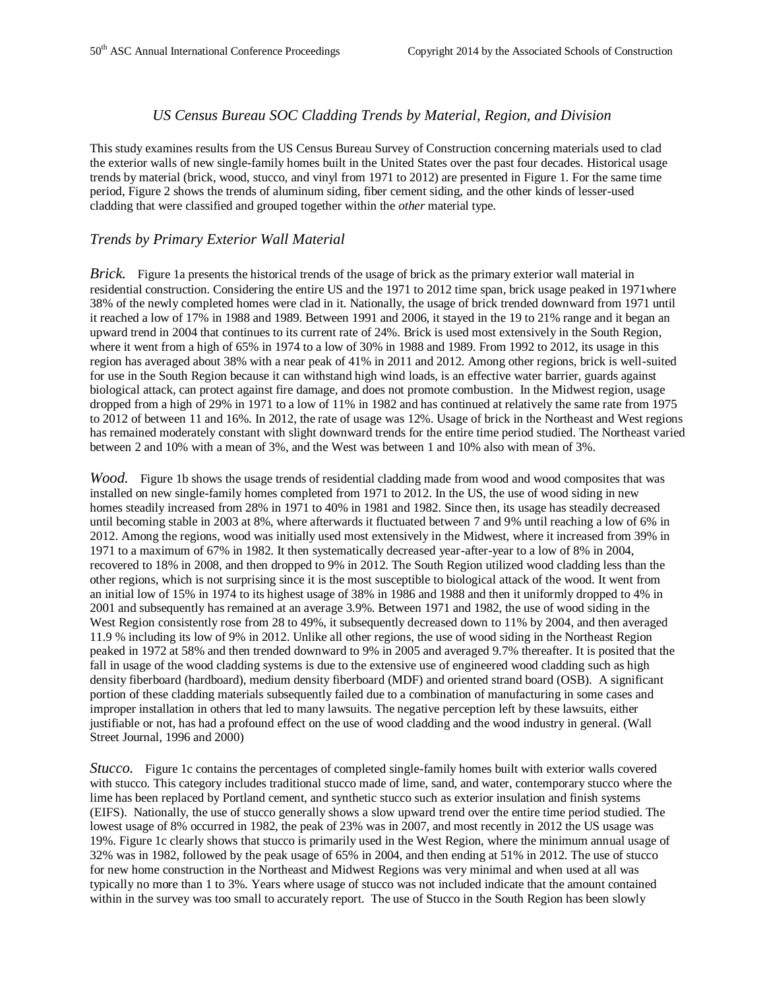## *US Census Bureau SOC Cladding Trends by Material, Region, and Division*

This study examines results from the US Census Bureau Survey of Construction concerning materials used to clad the exterior walls of new single-family homes built in the United States over the past four decades. Historical usage trends by material (brick, wood, stucco, and vinyl from 1971 to 2012) are presented in Figure 1. For the same time period, Figure 2 shows the trends of aluminum siding, fiber cement siding, and the other kinds of lesser-used cladding that were classified and grouped together within the *other* material type.

#### *Trends by Primary Exterior Wall Material*

*Brick.* Figure 1a presents the historical trends of the usage of brick as the primary exterior wall material in residential construction. Considering the entire US and the 1971 to 2012 time span, brick usage peaked in 1971where 38% of the newly completed homes were clad in it. Nationally, the usage of brick trended downward from 1971 until it reached a low of 17% in 1988 and 1989. Between 1991 and 2006, it stayed in the 19 to 21% range and it began an upward trend in 2004 that continues to its current rate of 24%. Brick is used most extensively in the South Region, where it went from a high of 65% in 1974 to a low of 30% in 1988 and 1989. From 1992 to 2012, its usage in this region has averaged about 38% with a near peak of 41% in 2011 and 2012. Among other regions, brick is well-suited for use in the South Region because it can withstand high wind loads, is an effective water barrier, guards against biological attack, can protect against fire damage, and does not promote combustion. In the Midwest region, usage dropped from a high of 29% in 1971 to a low of 11% in 1982 and has continued at relatively the same rate from 1975 to 2012 of between 11 and 16%. In 2012, the rate of usage was 12%. Usage of brick in the Northeast and West regions has remained moderately constant with slight downward trends for the entire time period studied. The Northeast varied between 2 and 10% with a mean of 3%, and the West was between 1 and 10% also with mean of 3%.

*Wood.* Figure 1b shows the usage trends of residential cladding made from wood and wood composites that was installed on new single-family homes completed from 1971 to 2012. In the US, the use of wood siding in new homes steadily increased from 28% in 1971 to 40% in 1981 and 1982. Since then, its usage has steadily decreased until becoming stable in 2003 at 8%, where afterwards it fluctuated between 7 and 9% until reaching a low of 6% in 2012. Among the regions, wood was initially used most extensively in the Midwest, where it increased from 39% in 1971 to a maximum of 67% in 1982. It then systematically decreased year-after-year to a low of 8% in 2004, recovered to 18% in 2008, and then dropped to 9% in 2012. The South Region utilized wood cladding less than the other regions, which is not surprising since it is the most susceptible to biological attack of the wood. It went from an initial low of 15% in 1974 to its highest usage of 38% in 1986 and 1988 and then it uniformly dropped to 4% in 2001 and subsequently has remained at an average 3.9%. Between 1971 and 1982, the use of wood siding in the West Region consistently rose from 28 to 49%, it subsequently decreased down to 11% by 2004, and then averaged 11.9 % including its low of 9% in 2012. Unlike all other regions, the use of wood siding in the Northeast Region peaked in 1972 at 58% and then trended downward to 9% in 2005 and averaged 9.7% thereafter. It is posited that the fall in usage of the wood cladding systems is due to the extensive use of engineered wood cladding such as high density fiberboard (hardboard), medium density fiberboard (MDF) and oriented strand board (OSB). A significant portion of these cladding materials subsequently failed due to a combination of manufacturing in some cases and improper installation in others that led to many lawsuits. The negative perception left by these lawsuits, either justifiable or not, has had a profound effect on the use of wood cladding and the wood industry in general. (Wall Street Journal, 1996 and 2000)

*Stucco.* Figure 1c contains the percentages of completed single-family homes built with exterior walls covered with stucco. This category includes traditional stucco made of lime, sand, and water, contemporary stucco where the lime has been replaced by Portland cement, and synthetic stucco such as exterior insulation and finish systems (EIFS). Nationally, the use of stucco generally shows a slow upward trend over the entire time period studied. The lowest usage of 8% occurred in 1982, the peak of 23% was in 2007, and most recently in 2012 the US usage was 19%. Figure 1c clearly shows that stucco is primarily used in the West Region, where the minimum annual usage of 32% was in 1982, followed by the peak usage of 65% in 2004, and then ending at 51% in 2012. The use of stucco for new home construction in the Northeast and Midwest Regions was very minimal and when used at all was typically no more than 1 to 3%. Years where usage of stucco was not included indicate that the amount contained within in the survey was too small to accurately report. The use of Stucco in the South Region has been slowly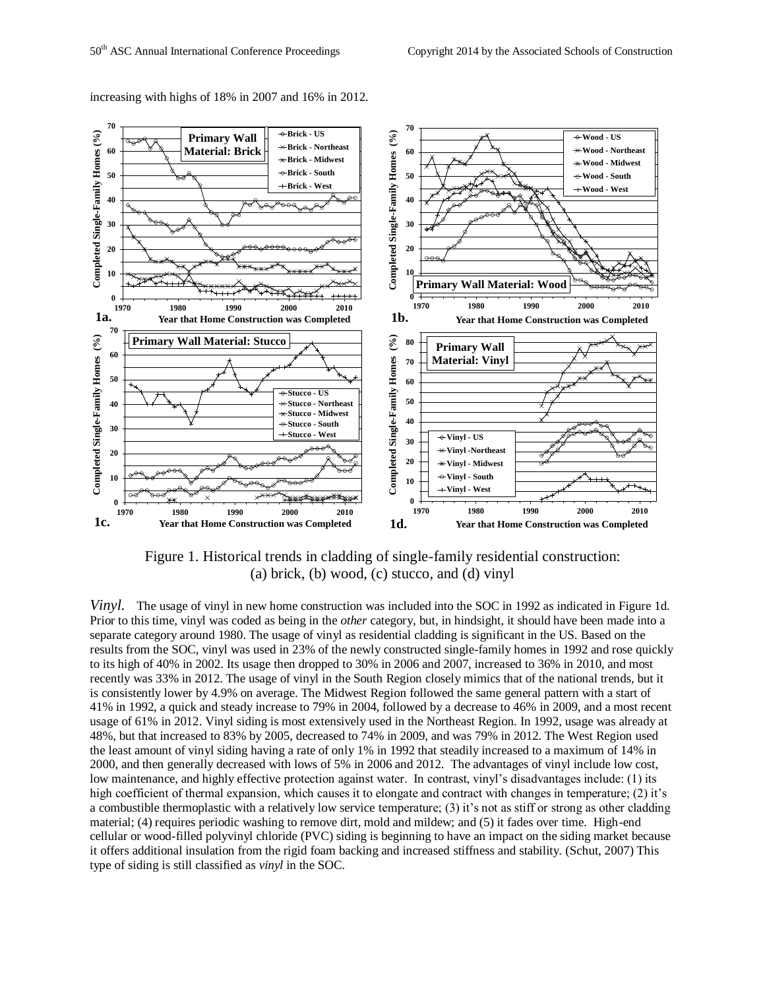

increasing with highs of 18% in 2007 and 16% in 2012.

Figure 1. Historical trends in cladding of single-family residential construction: (a) brick, (b) wood, (c) stucco, and (d) vinyl

*Vinyl.* The usage of vinyl in new home construction was included into the SOC in 1992 as indicated in Figure 1d. Prior to this time, vinyl was coded as being in the *other* category, but, in hindsight, it should have been made into a separate category around 1980. The usage of vinyl as residential cladding is significant in the US. Based on the results from the SOC, vinyl was used in 23% of the newly constructed single-family homes in 1992 and rose quickly to its high of 40% in 2002. Its usage then dropped to 30% in 2006 and 2007, increased to 36% in 2010, and most recently was 33% in 2012. The usage of vinyl in the South Region closely mimics that of the national trends, but it is consistently lower by 4.9% on average. The Midwest Region followed the same general pattern with a start of 41% in 1992, a quick and steady increase to 79% in 2004, followed by a decrease to 46% in 2009, and a most recent usage of 61% in 2012. Vinyl siding is most extensively used in the Northeast Region. In 1992, usage was already at 48%, but that increased to 83% by 2005, decreased to 74% in 2009, and was 79% in 2012. The West Region used the least amount of vinyl siding having a rate of only 1% in 1992 that steadily increased to a maximum of 14% in 2000, and then generally decreased with lows of 5% in 2006 and 2012. The advantages of vinyl include low cost, low maintenance, and highly effective protection against water. In contrast, vinyl's disadvantages include: (1) its high coefficient of thermal expansion, which causes it to elongate and contract with changes in temperature; (2) it's a combustible thermoplastic with a relatively low service temperature; (3) it's not as stiff or strong as other cladding material; (4) requires periodic washing to remove dirt, mold and mildew; and (5) it fades over time. High-end cellular or wood-filled polyvinyl chloride (PVC) siding is beginning to have an impact on the siding market because it offers additional insulation from the rigid foam backing and increased stiffness and stability. (Schut, 2007) This type of siding is still classified as *vinyl* in the SOC.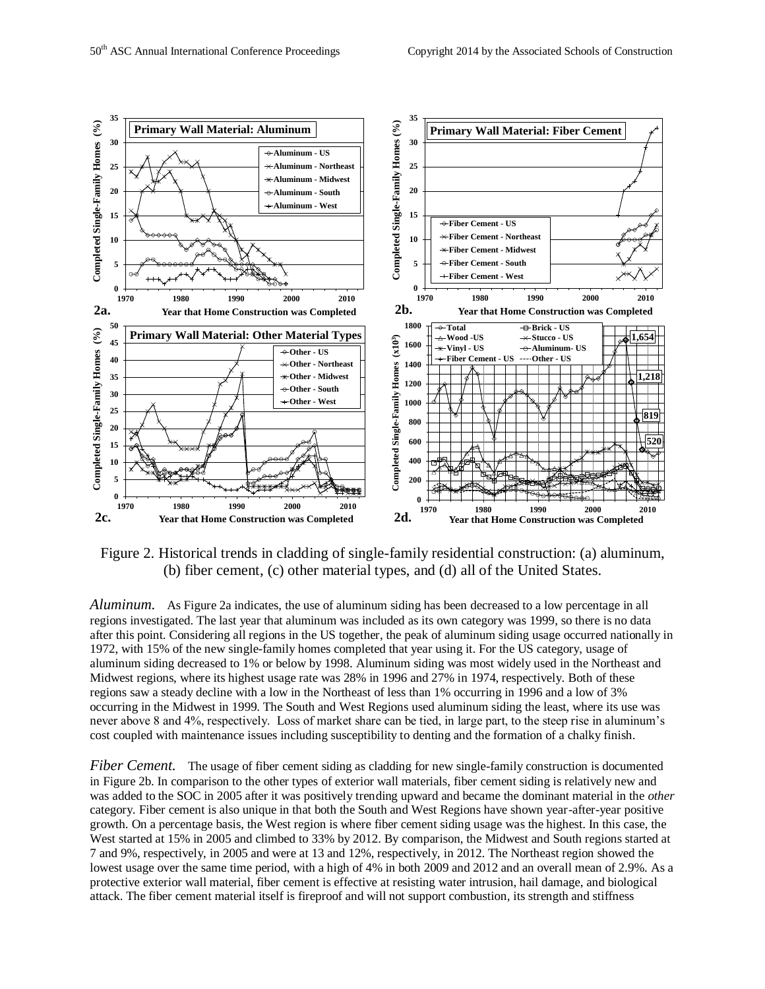

Figure 2. Historical trends in cladding of single-family residential construction: (a) aluminum, (b) fiber cement, (c) other material types, and (d) all of the United States.

*Aluminum.* As Figure 2a indicates, the use of aluminum siding has been decreased to a low percentage in all regions investigated. The last year that aluminum was included as its own category was 1999, so there is no data after this point. Considering all regions in the US together, the peak of aluminum siding usage occurred nationally in 1972, with 15% of the new single-family homes completed that year using it. For the US category, usage of aluminum siding decreased to 1% or below by 1998. Aluminum siding was most widely used in the Northeast and Midwest regions, where its highest usage rate was 28% in 1996 and 27% in 1974, respectively. Both of these regions saw a steady decline with a low in the Northeast of less than 1% occurring in 1996 and a low of 3% occurring in the Midwest in 1999. The South and West Regions used aluminum siding the least, where its use was never above 8 and 4%, respectively. Loss of market share can be tied, in large part, to the steep rise in aluminum's cost coupled with maintenance issues including susceptibility to denting and the formation of a chalky finish.

*Fiber Cement.* The usage of fiber cement siding as cladding for new single-family construction is documented in Figure 2b. In comparison to the other types of exterior wall materials, fiber cement siding is relatively new and was added to the SOC in 2005 after it was positively trending upward and became the dominant material in the *other* category. Fiber cement is also unique in that both the South and West Regions have shown year-after-year positive growth. On a percentage basis, the West region is where fiber cement siding usage was the highest. In this case, the West started at 15% in 2005 and climbed to 33% by 2012. By comparison, the Midwest and South regions started at 7 and 9%, respectively, in 2005 and were at 13 and 12%, respectively, in 2012. The Northeast region showed the lowest usage over the same time period, with a high of 4% in both 2009 and 2012 and an overall mean of 2.9%. As a protective exterior wall material, fiber cement is effective at resisting water intrusion, hail damage, and biological attack. The fiber cement material itself is fireproof and will not support combustion, its strength and stiffness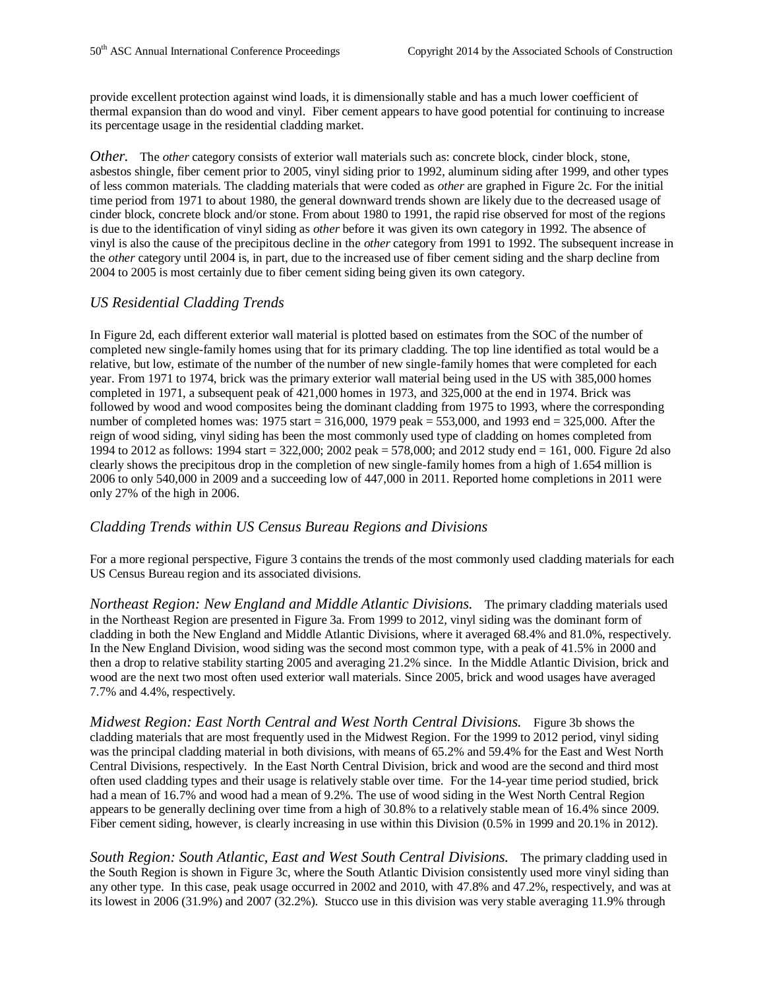provide excellent protection against wind loads, it is dimensionally stable and has a much lower coefficient of thermal expansion than do wood and vinyl. Fiber cement appears to have good potential for continuing to increase its percentage usage in the residential cladding market.

*Other.* The *other* category consists of exterior wall materials such as: concrete block, cinder block, stone, asbestos shingle, fiber cement prior to 2005, vinyl siding prior to 1992, aluminum siding after 1999, and other types of less common materials. The cladding materials that were coded as *other* are graphed in Figure 2c. For the initial time period from 1971 to about 1980, the general downward trends shown are likely due to the decreased usage of cinder block, concrete block and/or stone. From about 1980 to 1991, the rapid rise observed for most of the regions is due to the identification of vinyl siding as *other* before it was given its own category in 1992. The absence of vinyl is also the cause of the precipitous decline in the *other* category from 1991 to 1992. The subsequent increase in the *other* category until 2004 is, in part, due to the increased use of fiber cement siding and the sharp decline from 2004 to 2005 is most certainly due to fiber cement siding being given its own category.

## *US Residential Cladding Trends*

In Figure 2d, each different exterior wall material is plotted based on estimates from the SOC of the number of completed new single-family homes using that for its primary cladding. The top line identified as total would be a relative, but low, estimate of the number of the number of new single-family homes that were completed for each year. From 1971 to 1974, brick was the primary exterior wall material being used in the US with 385,000 homes completed in 1971, a subsequent peak of 421,000 homes in 1973, and 325,000 at the end in 1974. Brick was followed by wood and wood composites being the dominant cladding from 1975 to 1993, where the corresponding number of completed homes was: 1975 start = 316,000, 1979 peak = 553,000, and 1993 end = 325,000. After the reign of wood siding, vinyl siding has been the most commonly used type of cladding on homes completed from 1994 to 2012 as follows: 1994 start = 322,000; 2002 peak = 578,000; and 2012 study end = 161, 000. Figure 2d also clearly shows the precipitous drop in the completion of new single-family homes from a high of 1.654 million is 2006 to only 540,000 in 2009 and a succeeding low of 447,000 in 2011. Reported home completions in 2011 were only 27% of the high in 2006.

## *Cladding Trends within US Census Bureau Regions and Divisions*

For a more regional perspective, Figure 3 contains the trends of the most commonly used cladding materials for each US Census Bureau region and its associated divisions.

*Northeast Region: New England and Middle Atlantic Divisions.* The primary cladding materials used in the Northeast Region are presented in Figure 3a. From 1999 to 2012, vinyl siding was the dominant form of cladding in both the New England and Middle Atlantic Divisions, where it averaged 68.4% and 81.0%, respectively. In the New England Division, wood siding was the second most common type, with a peak of 41.5% in 2000 and then a drop to relative stability starting 2005 and averaging 21.2% since. In the Middle Atlantic Division, brick and wood are the next two most often used exterior wall materials. Since 2005, brick and wood usages have averaged 7.7% and 4.4%, respectively.

*Midwest Region: East North Central and West North Central Divisions.* Figure 3b shows the cladding materials that are most frequently used in the Midwest Region. For the 1999 to 2012 period, vinyl siding was the principal cladding material in both divisions, with means of 65.2% and 59.4% for the East and West North Central Divisions, respectively. In the East North Central Division, brick and wood are the second and third most often used cladding types and their usage is relatively stable over time. For the 14-year time period studied, brick had a mean of 16.7% and wood had a mean of 9.2%. The use of wood siding in the West North Central Region appears to be generally declining over time from a high of 30.8% to a relatively stable mean of 16.4% since 2009. Fiber cement siding, however, is clearly increasing in use within this Division (0.5% in 1999 and 20.1% in 2012).

*South Region: South Atlantic, East and West South Central Divisions.* The primary cladding used in the South Region is shown in Figure 3c, where the South Atlantic Division consistently used more vinyl siding than any other type. In this case, peak usage occurred in 2002 and 2010, with 47.8% and 47.2%, respectively, and was at its lowest in 2006 (31.9%) and 2007 (32.2%). Stucco use in this division was very stable averaging 11.9% through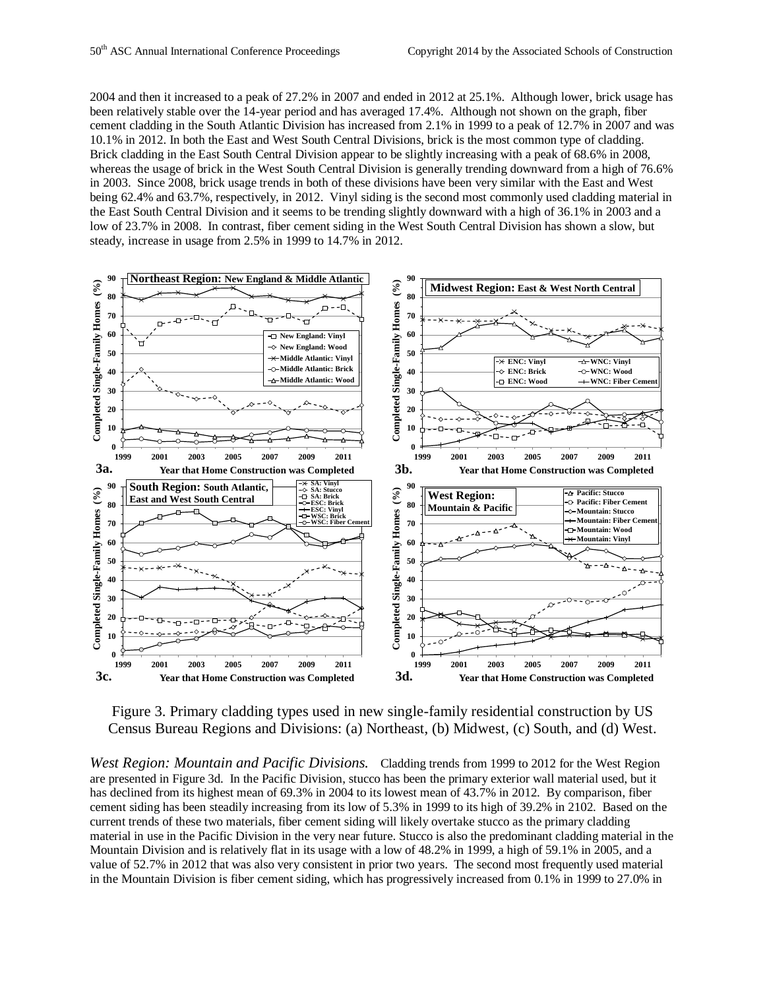2004 and then it increased to a peak of 27.2% in 2007 and ended in 2012 at 25.1%. Although lower, brick usage has been relatively stable over the 14-year period and has averaged 17.4%. Although not shown on the graph, fiber cement cladding in the South Atlantic Division has increased from 2.1% in 1999 to a peak of 12.7% in 2007 and was 10.1% in 2012. In both the East and West South Central Divisions, brick is the most common type of cladding. Brick cladding in the East South Central Division appear to be slightly increasing with a peak of 68.6% in 2008, whereas the usage of brick in the West South Central Division is generally trending downward from a high of 76.6% in 2003. Since 2008, brick usage trends in both of these divisions have been very similar with the East and West being 62.4% and 63.7%, respectively, in 2012. Vinyl siding is the second most commonly used cladding material in the East South Central Division and it seems to be trending slightly downward with a high of 36.1% in 2003 and a low of 23.7% in 2008. In contrast, fiber cement siding in the West South Central Division has shown a slow, but steady, increase in usage from 2.5% in 1999 to 14.7% in 2012.



Figure 3. Primary cladding types used in new single-family residential construction by US Census Bureau Regions and Divisions: (a) Northeast, (b) Midwest, (c) South, and (d) West.

*West Region: Mountain and Pacific Divisions.* Cladding trends from 1999 to 2012 for the West Region are presented in Figure 3d. In the Pacific Division, stucco has been the primary exterior wall material used, but it has declined from its highest mean of 69.3% in 2004 to its lowest mean of 43.7% in 2012. By comparison, fiber cement siding has been steadily increasing from its low of 5.3% in 1999 to its high of 39.2% in 2102. Based on the current trends of these two materials, fiber cement siding will likely overtake stucco as the primary cladding material in use in the Pacific Division in the very near future. Stucco is also the predominant cladding material in the Mountain Division and is relatively flat in its usage with a low of 48.2% in 1999, a high of 59.1% in 2005, and a value of 52.7% in 2012 that was also very consistent in prior two years. The second most frequently used material in the Mountain Division is fiber cement siding, which has progressively increased from 0.1% in 1999 to 27.0% in